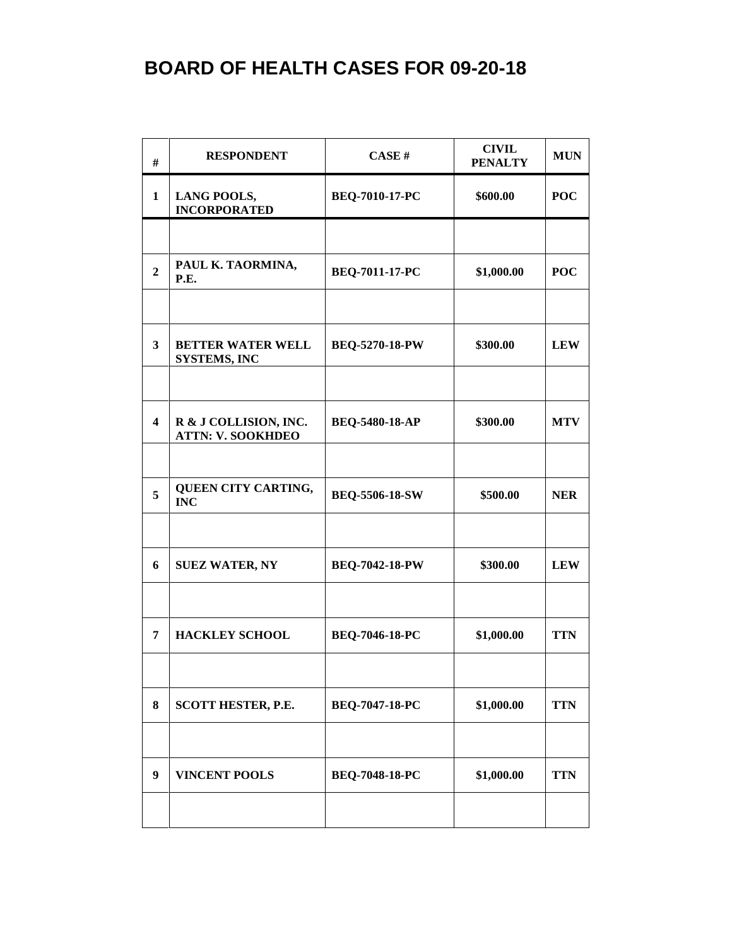| #                       | <b>RESPONDENT</b>                                 | CASE#                 | <b>CIVIL</b><br><b>PENALTY</b> | <b>MUN</b> |
|-------------------------|---------------------------------------------------|-----------------------|--------------------------------|------------|
| 1                       | <b>LANG POOLS,</b><br><b>INCORPORATED</b>         | BEQ-7010-17-PC        | \$600.00                       | <b>POC</b> |
|                         |                                                   |                       |                                |            |
| $\overline{2}$          | PAUL K. TAORMINA,<br>P.E.                         | BEQ-7011-17-PC        | \$1,000.00                     | <b>POC</b> |
|                         |                                                   |                       |                                |            |
| $\overline{\mathbf{3}}$ | <b>BETTER WATER WELL</b><br><b>SYSTEMS, INC</b>   | <b>BEQ-5270-18-PW</b> | \$300.00                       | <b>LEW</b> |
|                         |                                                   |                       |                                |            |
| $\overline{\mathbf{4}}$ | R & J COLLISION, INC.<br><b>ATTN: V. SOOKHDEO</b> | <b>BEQ-5480-18-AP</b> | \$300.00                       | <b>MTV</b> |
|                         |                                                   |                       |                                |            |
| 5                       | QUEEN CITY CARTING,<br><b>INC</b>                 | <b>BEQ-5506-18-SW</b> | \$500.00                       | <b>NER</b> |
|                         |                                                   |                       |                                |            |
| 6                       | <b>SUEZ WATER, NY</b>                             | <b>BEQ-7042-18-PW</b> | \$300.00                       | <b>LEW</b> |
|                         |                                                   |                       |                                |            |
| 7                       | <b>HACKLEY SCHOOL</b>                             | BEQ-7046-18-PC        | \$1,000.00                     | <b>TTN</b> |
|                         |                                                   |                       |                                |            |
| 8                       | <b>SCOTT HESTER, P.E.</b>                         | <b>BEQ-7047-18-PC</b> | \$1,000.00                     | <b>TTN</b> |
|                         |                                                   |                       |                                |            |
| 9                       | <b>VINCENT POOLS</b>                              | <b>BEQ-7048-18-PC</b> | \$1,000.00                     | <b>TTN</b> |
|                         |                                                   |                       |                                |            |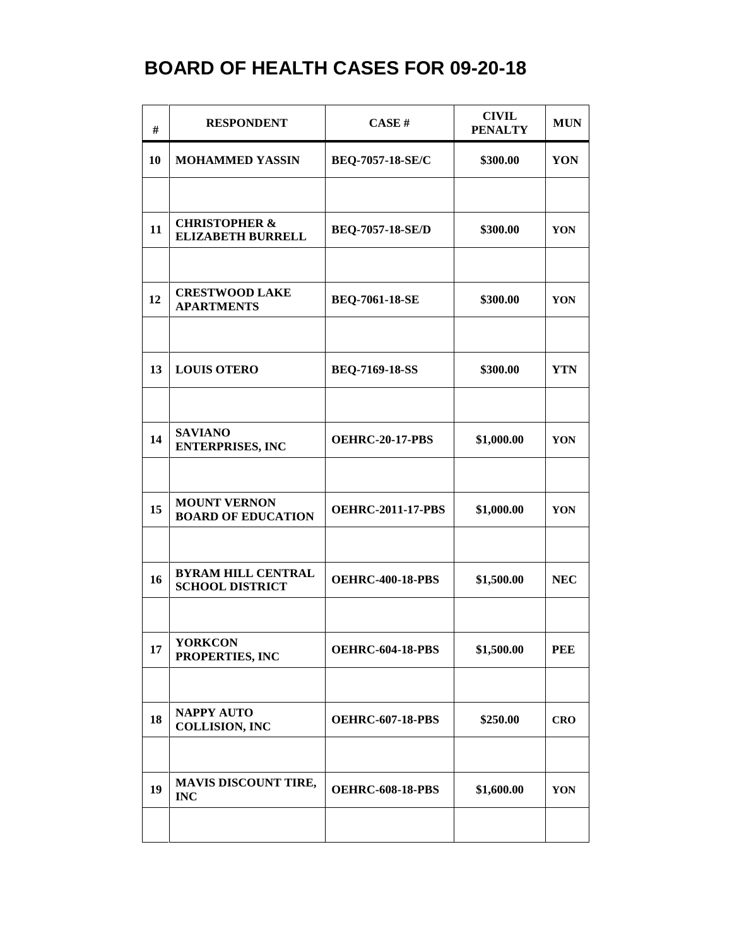| #  | <b>RESPONDENT</b>                                    | CASE#                    | <b>CIVIL</b><br><b>PENALTY</b> | <b>MUN</b> |
|----|------------------------------------------------------|--------------------------|--------------------------------|------------|
| 10 | <b>MOHAMMED YASSIN</b>                               | <b>BEQ-7057-18-SE/C</b>  | \$300.00                       | YON        |
|    |                                                      |                          |                                |            |
| 11 | <b>CHRISTOPHER &amp;</b><br><b>ELIZABETH BURRELL</b> | <b>BEQ-7057-18-SE/D</b>  | \$300.00                       | YON        |
|    |                                                      |                          |                                |            |
| 12 | <b>CRESTWOOD LAKE</b><br><b>APARTMENTS</b>           | <b>BEQ-7061-18-SE</b>    | \$300.00                       | YON        |
|    |                                                      |                          |                                |            |
| 13 | <b>LOUIS OTERO</b>                                   | <b>BEQ-7169-18-SS</b>    | \$300.00                       | <b>YTN</b> |
|    |                                                      |                          |                                |            |
| 14 | <b>SAVIANO</b><br><b>ENTERPRISES, INC</b>            | <b>OEHRC-20-17-PBS</b>   | \$1,000.00                     | YON        |
|    |                                                      |                          |                                |            |
| 15 | <b>MOUNT VERNON</b><br><b>BOARD OF EDUCATION</b>     | <b>OEHRC-2011-17-PBS</b> | \$1,000.00                     | YON        |
|    |                                                      |                          |                                |            |
| 16 | <b>BYRAM HILL CENTRAL</b><br><b>SCHOOL DISTRICT</b>  | <b>OEHRC-400-18-PBS</b>  | \$1,500.00                     | <b>NEC</b> |
|    |                                                      |                          |                                |            |
| 17 | <b>YORKCON</b><br>PROPERTIES, INC                    | <b>OEHRC-604-18-PBS</b>  | \$1,500.00                     | <b>PEE</b> |
|    |                                                      |                          |                                |            |
| 18 | <b>NAPPY AUTO</b><br><b>COLLISION, INC</b>           | <b>OEHRC-607-18-PBS</b>  | \$250.00                       | <b>CRO</b> |
|    |                                                      |                          |                                |            |
| 19 | <b>MAVIS DISCOUNT TIRE,</b><br><b>INC</b>            | <b>OEHRC-608-18-PBS</b>  | \$1,600.00                     | YON        |
|    |                                                      |                          |                                |            |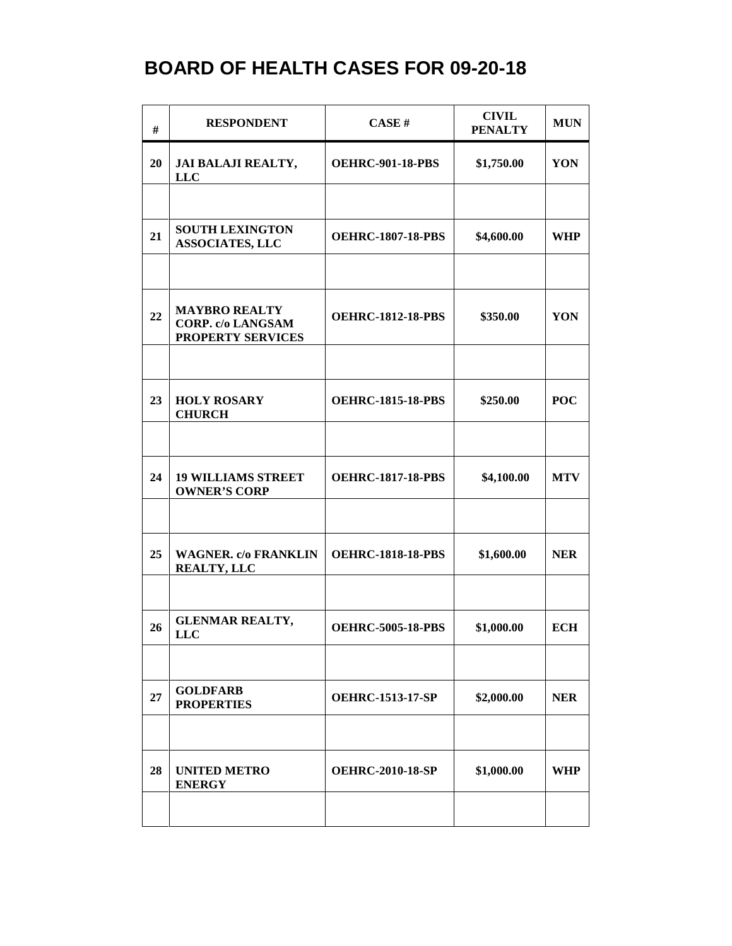| #  | <b>RESPONDENT</b>                                                            | <b>CASE#</b>             | <b>CIVIL</b><br><b>PENALTY</b> | <b>MUN</b> |
|----|------------------------------------------------------------------------------|--------------------------|--------------------------------|------------|
| 20 | JAI BALAJI REALTY,<br><b>LLC</b>                                             | <b>OEHRC-901-18-PBS</b>  | \$1,750.00                     | YON        |
|    |                                                                              |                          |                                |            |
| 21 | <b>SOUTH LEXINGTON</b><br><b>ASSOCIATES, LLC</b>                             | <b>OEHRC-1807-18-PBS</b> | \$4,600.00                     | WHP        |
|    |                                                                              |                          |                                |            |
| 22 | <b>MAYBRO REALTY</b><br><b>CORP.</b> c/o LANGSAM<br><b>PROPERTY SERVICES</b> | <b>OEHRC-1812-18-PBS</b> | \$350.00                       | YON        |
|    |                                                                              |                          |                                |            |
| 23 | <b>HOLY ROSARY</b><br><b>CHURCH</b>                                          | <b>OEHRC-1815-18-PBS</b> | \$250.00                       | <b>POC</b> |
|    |                                                                              |                          |                                |            |
| 24 | <b>19 WILLIAMS STREET</b><br><b>OWNER'S CORP</b>                             | <b>OEHRC-1817-18-PBS</b> | \$4,100.00                     | <b>MTV</b> |
|    |                                                                              |                          |                                |            |
| 25 | <b>WAGNER. c/o FRANKLIN</b><br><b>REALTY, LLC</b>                            | <b>OEHRC-1818-18-PBS</b> | \$1,600.00                     | <b>NER</b> |
|    |                                                                              |                          |                                |            |
| 26 | <b>GLENMAR REALTY,</b><br><b>LLC</b>                                         | <b>OEHRC-5005-18-PBS</b> | \$1,000.00                     | <b>ECH</b> |
|    |                                                                              |                          |                                |            |
| 27 | <b>GOLDFARB</b><br><b>PROPERTIES</b>                                         | <b>OEHRC-1513-17-SP</b>  | \$2,000.00                     | <b>NER</b> |
|    |                                                                              |                          |                                |            |
| 28 | <b>UNITED METRO</b><br><b>ENERGY</b>                                         | <b>OEHRC-2010-18-SP</b>  | \$1,000.00                     | <b>WHP</b> |
|    |                                                                              |                          |                                |            |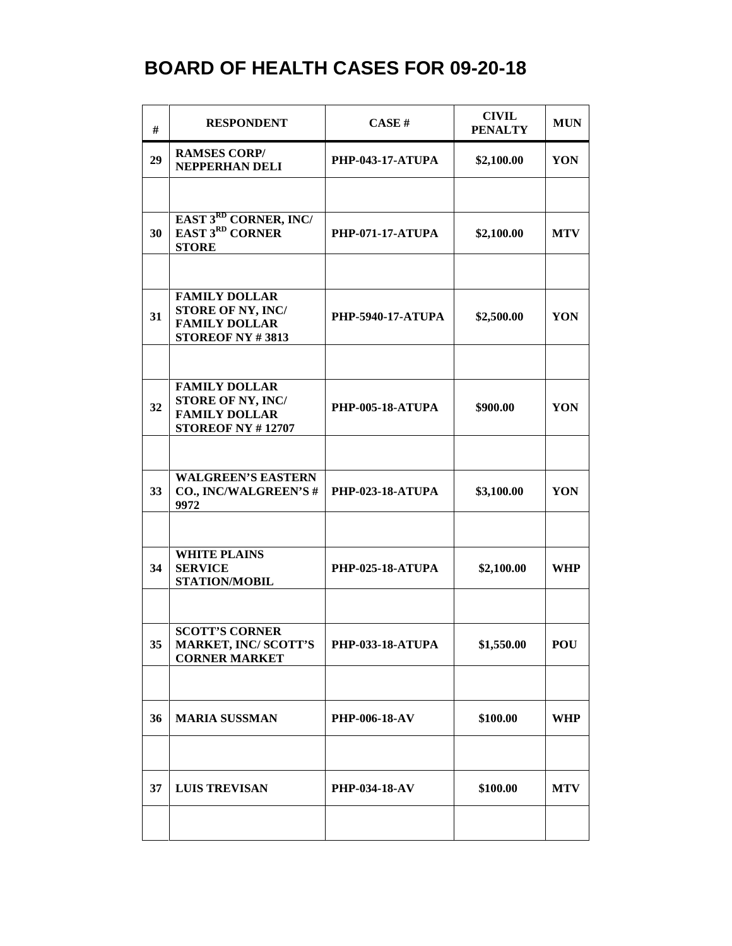| #  | <b>RESPONDENT</b>                                                                             | CASE#                    | <b>CIVIL</b><br><b>PENALTY</b> | <b>MUN</b> |
|----|-----------------------------------------------------------------------------------------------|--------------------------|--------------------------------|------------|
| 29 | <b>RAMSES CORP/</b><br>NEPPERHAN DELI                                                         | <b>PHP-043-17-ATUPA</b>  | \$2,100.00                     | YON        |
|    |                                                                                               |                          |                                |            |
| 30 | EAST 3RD CORNER, INC/<br><b>EAST 3RD CORNER</b><br><b>STORE</b>                               | <b>PHP-071-17-ATUPA</b>  | \$2,100.00                     | <b>MTV</b> |
|    |                                                                                               |                          |                                |            |
| 31 | <b>FAMILY DOLLAR</b><br>STORE OF NY, INC/<br><b>FAMILY DOLLAR</b><br><b>STOREOF NY #3813</b>  | <b>PHP-5940-17-ATUPA</b> | \$2,500.00                     | YON        |
|    |                                                                                               |                          |                                |            |
| 32 | <b>FAMILY DOLLAR</b><br>STORE OF NY, INC/<br><b>FAMILY DOLLAR</b><br><b>STOREOF NY #12707</b> | <b>PHP-005-18-ATUPA</b>  | \$900.00                       | YON        |
|    |                                                                                               |                          |                                |            |
| 33 | <b>WALGREEN'S EASTERN</b><br>CO., INC/WALGREEN'S#<br>9972                                     | <b>PHP-023-18-ATUPA</b>  | \$3,100.00                     | YON        |
|    |                                                                                               |                          |                                |            |
| 34 | <b>WHITE PLAINS</b><br><b>SERVICE</b><br>STATION/MOBIL                                        | <b>PHP-025-18-ATUPA</b>  | \$2,100.00                     | <b>WHP</b> |
|    |                                                                                               |                          |                                |            |
| 35 | <b>SCOTT'S CORNER</b><br><b>MARKET, INC/SCOTT'S</b><br><b>CORNER MARKET</b>                   | <b>PHP-033-18-ATUPA</b>  | \$1,550.00                     | <b>POU</b> |
|    |                                                                                               |                          |                                |            |
| 36 | <b>MARIA SUSSMAN</b>                                                                          | <b>PHP-006-18-AV</b>     | \$100.00                       | <b>WHP</b> |
|    |                                                                                               |                          |                                |            |
| 37 | <b>LUIS TREVISAN</b>                                                                          | <b>PHP-034-18-AV</b>     | \$100.00                       | <b>MTV</b> |
|    |                                                                                               |                          |                                |            |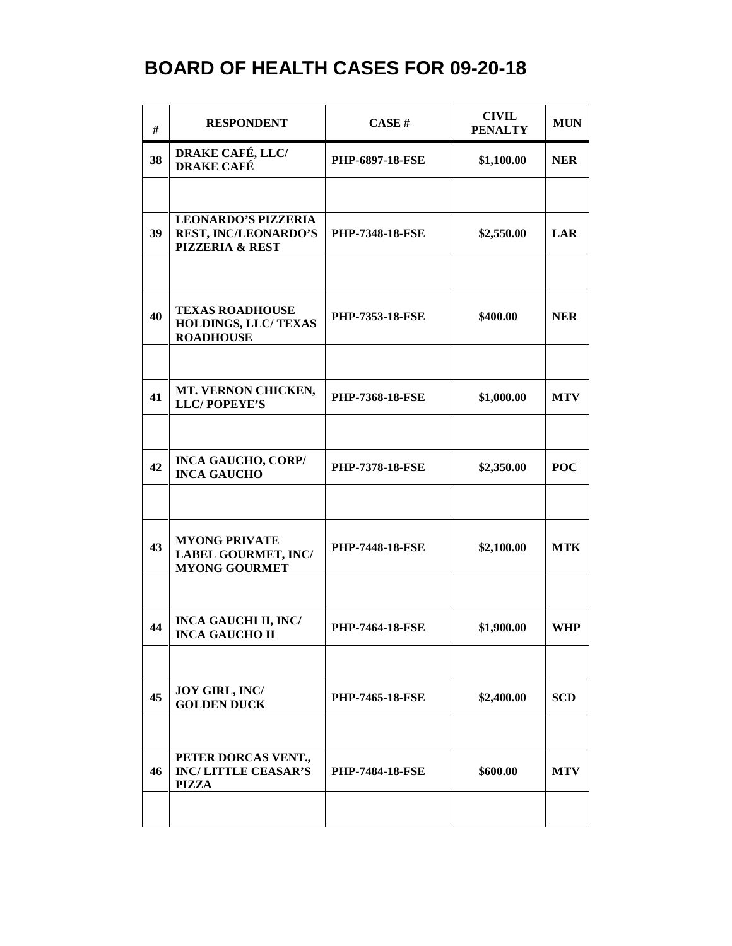| #  | <b>RESPONDENT</b>                                                                       | CASE#                  | <b>CIVIL</b><br><b>PENALTY</b> | <b>MUN</b> |
|----|-----------------------------------------------------------------------------------------|------------------------|--------------------------------|------------|
| 38 | <b>DRAKE CAFÉ, LLC/</b><br><b>DRAKE CAFÉ</b>                                            | <b>PHP-6897-18-FSE</b> | \$1,100.00                     | <b>NER</b> |
|    |                                                                                         |                        |                                |            |
| 39 | <b>LEONARDO'S PIZZERIA</b><br><b>REST, INC/LEONARDO'S</b><br><b>PIZZERIA &amp; REST</b> | <b>PHP-7348-18-FSE</b> | \$2,550.00                     | LAR        |
|    |                                                                                         |                        |                                |            |
| 40 | <b>TEXAS ROADHOUSE</b><br>HOLDINGS, LLC/ TEXAS<br><b>ROADHOUSE</b>                      | <b>PHP-7353-18-FSE</b> | \$400.00                       | <b>NER</b> |
|    |                                                                                         |                        |                                |            |
| 41 | MT. VERNON CHICKEN,<br><b>LLC/POPEYE'S</b>                                              | <b>PHP-7368-18-FSE</b> | \$1,000.00                     | <b>MTV</b> |
|    |                                                                                         |                        |                                |            |
| 42 | <b>INCA GAUCHO, CORP/</b><br><b>INCA GAUCHO</b>                                         | <b>PHP-7378-18-FSE</b> | \$2,350.00                     | <b>POC</b> |
|    |                                                                                         |                        |                                |            |
| 43 | <b>MYONG PRIVATE</b><br><b>LABEL GOURMET, INC/</b><br><b>MYONG GOURMET</b>              | <b>PHP-7448-18-FSE</b> | \$2,100.00                     | <b>MTK</b> |
|    |                                                                                         |                        |                                |            |
| 44 | <b>INCA GAUCHI II, INC/</b><br><b>INCA GAUCHO II</b>                                    | <b>PHP-7464-18-FSE</b> | \$1,900.00                     | <b>WHP</b> |
|    |                                                                                         |                        |                                |            |
| 45 | JOY GIRL, INC/<br><b>GOLDEN DUCK</b>                                                    | <b>PHP-7465-18-FSE</b> | \$2,400.00                     | <b>SCD</b> |
|    |                                                                                         |                        |                                |            |
| 46 | PETER DORCAS VENT.,<br><b>INC/LITTLE CEASAR'S</b><br><b>PIZZA</b>                       | <b>PHP-7484-18-FSE</b> | \$600.00                       | <b>MTV</b> |
|    |                                                                                         |                        |                                |            |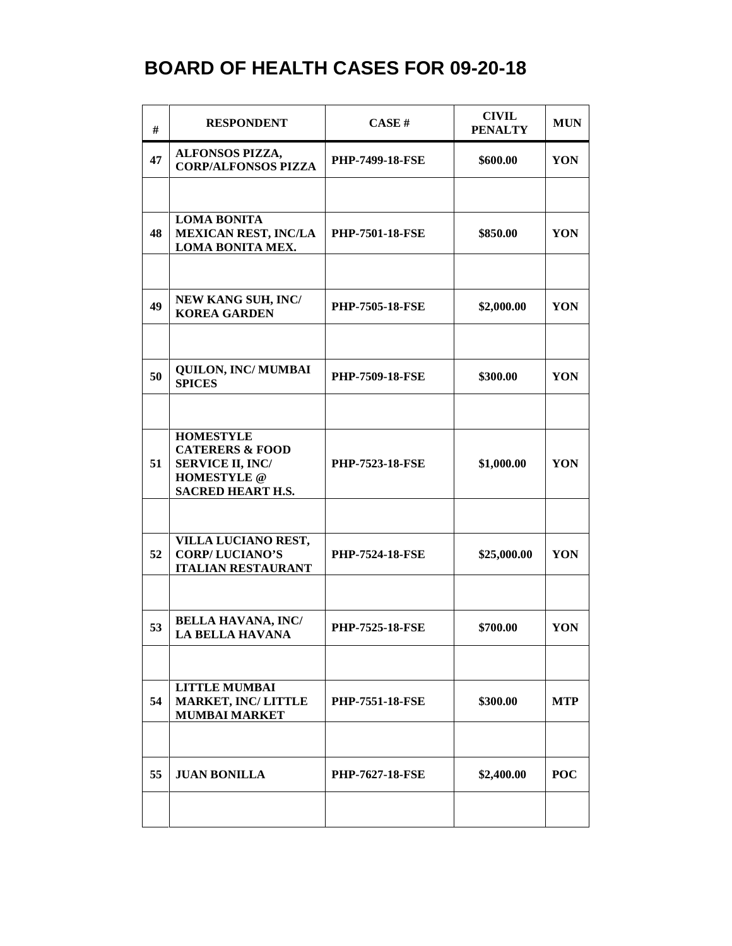| #  | <b>RESPONDENT</b>                                                                                                           | CASE#                  | <b>CIVIL</b><br><b>PENALTY</b> | <b>MUN</b> |
|----|-----------------------------------------------------------------------------------------------------------------------------|------------------------|--------------------------------|------------|
| 47 | ALFONSOS PIZZA,<br><b>CORP/ALFONSOS PIZZA</b>                                                                               | <b>PHP-7499-18-FSE</b> | \$600.00                       | YON        |
|    |                                                                                                                             |                        |                                |            |
| 48 | <b>LOMA BONITA</b><br><b>MEXICAN REST, INC/LA</b><br><b>LOMA BONITA MEX.</b>                                                | <b>PHP-7501-18-FSE</b> | \$850.00                       | YON        |
|    |                                                                                                                             |                        |                                |            |
| 49 | <b>NEW KANG SUH, INC/</b><br><b>KOREA GARDEN</b>                                                                            | <b>PHP-7505-18-FSE</b> | \$2,000.00                     | YON        |
|    |                                                                                                                             |                        |                                |            |
| 50 | <b>QUILON, INC/ MUMBAI</b><br><b>SPICES</b>                                                                                 | <b>PHP-7509-18-FSE</b> | \$300.00                       | YON        |
|    |                                                                                                                             |                        |                                |            |
| 51 | <b>HOMESTYLE</b><br><b>CATERERS &amp; FOOD</b><br><b>SERVICE II, INC/</b><br><b>HOMESTYLE</b> @<br><b>SACRED HEART H.S.</b> | <b>PHP-7523-18-FSE</b> | \$1,000.00                     | YON        |
|    |                                                                                                                             |                        |                                |            |
| 52 | VILLA LUCIANO REST,<br><b>CORP/LUCIANO'S</b><br><b>ITALIAN RESTAURANT</b>                                                   | <b>PHP-7524-18-FSE</b> | \$25,000.00                    | YON        |
|    |                                                                                                                             |                        |                                |            |
| 53 | <b>BELLA HAVANA, INC/</b><br><b>LA BELLA HAVANA</b>                                                                         | <b>PHP-7525-18-FSE</b> | \$700.00                       | YON        |
|    |                                                                                                                             |                        |                                |            |
| 54 | <b>LITTLE MUMBAI</b><br><b>MARKET, INC/LITTLE</b><br><b>MUMBAI MARKET</b>                                                   | <b>PHP-7551-18-FSE</b> | \$300.00                       | <b>MTP</b> |
|    |                                                                                                                             |                        |                                |            |
| 55 | <b>JUAN BONILLA</b>                                                                                                         | <b>PHP-7627-18-FSE</b> | \$2,400.00                     | <b>POC</b> |
|    |                                                                                                                             |                        |                                |            |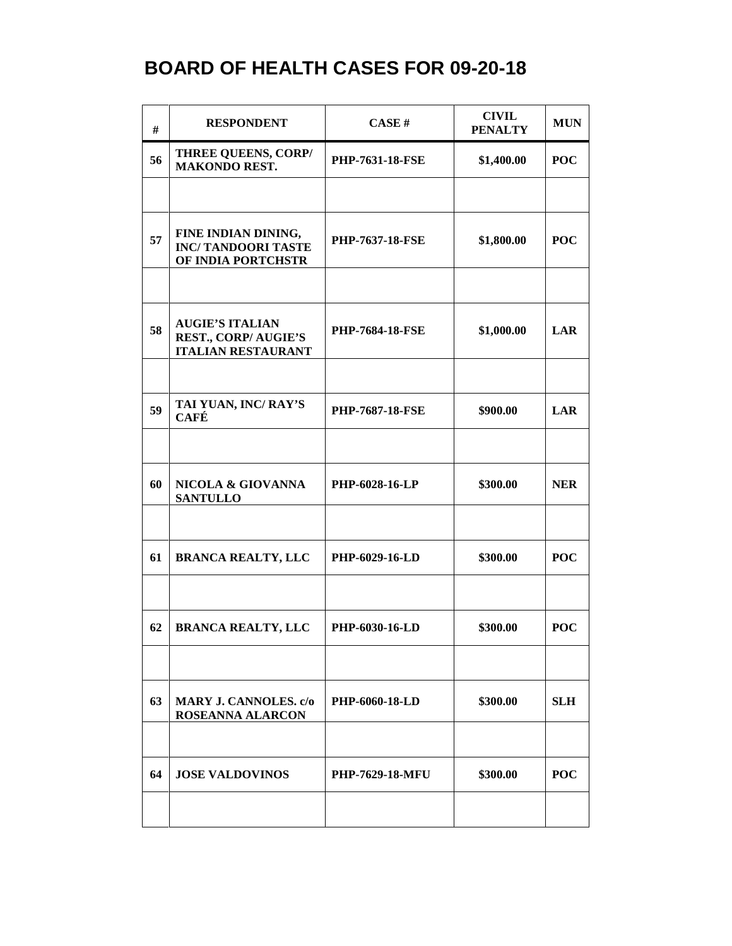| #  | <b>RESPONDENT</b>                                                                 | CASE#                  | <b>CIVIL</b><br><b>PENALTY</b> | <b>MUN</b> |
|----|-----------------------------------------------------------------------------------|------------------------|--------------------------------|------------|
| 56 | <b>THREE QUEENS, CORP/</b><br><b>MAKONDO REST.</b>                                | <b>PHP-7631-18-FSE</b> | \$1,400.00                     | <b>POC</b> |
|    |                                                                                   |                        |                                |            |
| 57 | FINE INDIAN DINING,<br><b>INC/TANDOORI TASTE</b><br>OF INDIA PORTCHSTR            | <b>PHP-7637-18-FSE</b> | \$1,800.00                     | <b>POC</b> |
|    |                                                                                   |                        |                                |            |
| 58 | <b>AUGIE'S ITALIAN</b><br><b>REST., CORP/AUGIE'S</b><br><b>ITALIAN RESTAURANT</b> | <b>PHP-7684-18-FSE</b> | \$1,000.00                     | <b>LAR</b> |
|    |                                                                                   |                        |                                |            |
| 59 | TAI YUAN, INC/RAY'S<br><b>CAFÉ</b>                                                | <b>PHP-7687-18-FSE</b> | \$900.00                       | <b>LAR</b> |
|    |                                                                                   |                        |                                |            |
| 60 | NICOLA & GIOVANNA<br><b>SANTULLO</b>                                              | <b>PHP-6028-16-LP</b>  | \$300.00                       | <b>NER</b> |
|    |                                                                                   |                        |                                |            |
| 61 | <b>BRANCA REALTY, LLC</b>                                                         | PHP-6029-16-LD         | \$300.00                       | <b>POC</b> |
|    |                                                                                   |                        |                                |            |
| 62 | <b>BRANCA REALTY, LLC</b>                                                         | PHP-6030-16-LD         | \$300.00                       | <b>POC</b> |
|    |                                                                                   |                        |                                |            |
| 63 | <b>MARY J. CANNOLES.</b> c/o<br><b>ROSEANNA ALARCON</b>                           | <b>PHP-6060-18-LD</b>  | \$300.00                       | <b>SLH</b> |
|    |                                                                                   |                        |                                |            |
| 64 | <b>JOSE VALDOVINOS</b>                                                            | <b>PHP-7629-18-MFU</b> | \$300.00                       | <b>POC</b> |
|    |                                                                                   |                        |                                |            |